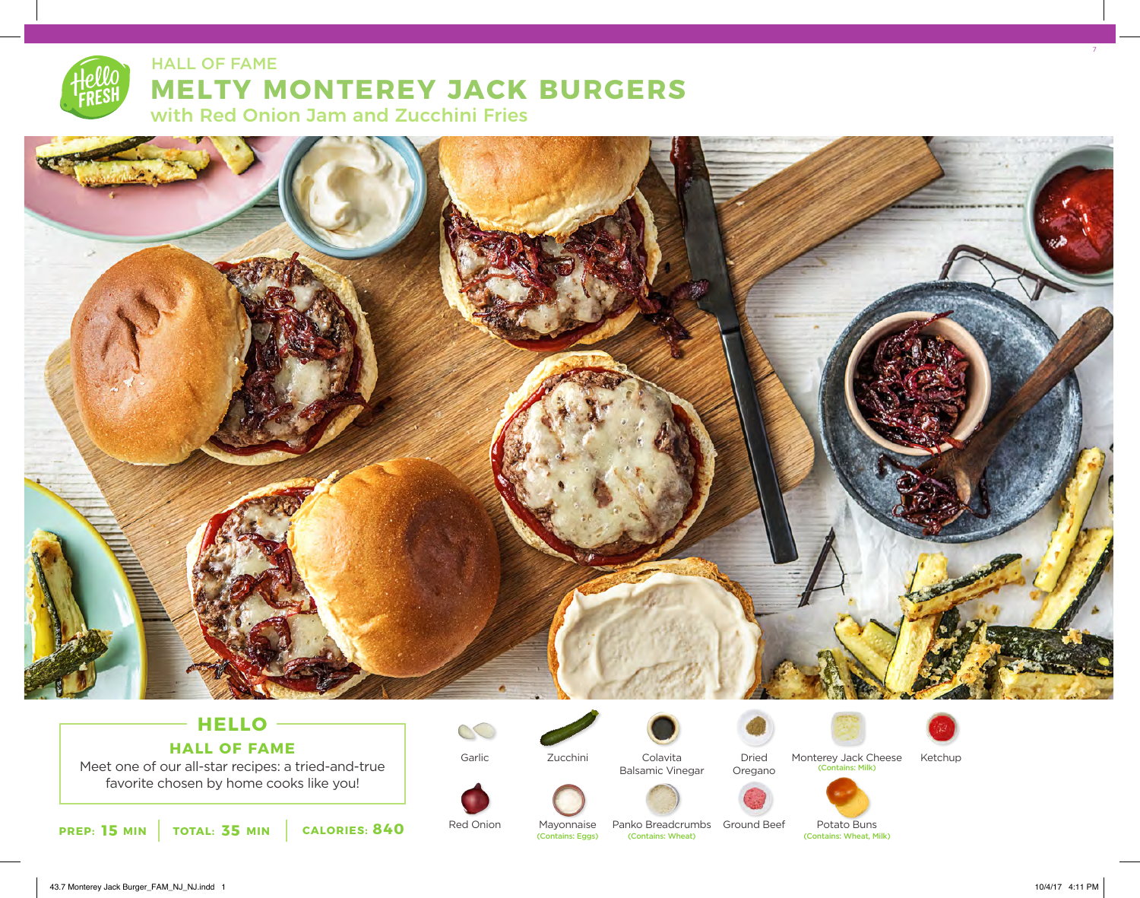# **MELTY MONTEREY JACK BURGERS** HALL OF FAME

with Red Onion Jam and Zucchini Fries



# **HELLO HALL OF FAME**

Meet one of our all-star recipes: a tried-and-true favorite chosen by home cooks like you!

**15 MIN** TOTAL: 35 MIN CALORIES: 840 Red Union Mayonnaise Panko Breadcrumbs Ground Beet Potato Buns<br>Contains: Wheat, Milk) (Contains: Wheat, Milk) **PREP: 15 MIN** (Contains: Wheat, Milk)

Garlic



Zucchini



Colavita Balsamic Vinegar





Monterey Jack Cheese Ketchup (Contains: Milk)





Potato Buns<br>
(Contains: Wheat, Milk)



7